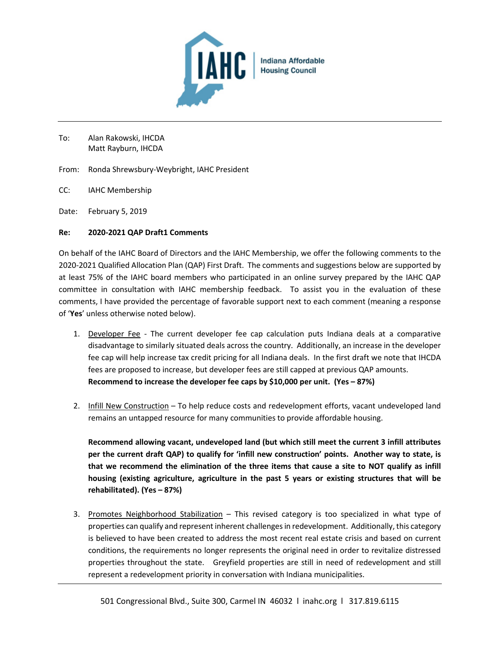

- To: Alan Rakowski, IHCDA Matt Rayburn, IHCDA
- From: Ronda Shrewsbury-Weybright, IAHC President
- CC: IAHC Membership
- Date: February 5, 2019

#### **Re: 2020-2021 QAP Draft1 Comments**

On behalf of the IAHC Board of Directors and the IAHC Membership, we offer the following comments to the 2020-2021 Qualified Allocation Plan (QAP) First Draft. The comments and suggestions below are supported by at least 75% of the IAHC board members who participated in an online survey prepared by the IAHC QAP committee in consultation with IAHC membership feedback. To assist you in the evaluation of these comments, I have provided the percentage of favorable support next to each comment (meaning a response of '**Yes**' unless otherwise noted below).

- 1. Developer Fee The current developer fee cap calculation puts Indiana deals at a comparative disadvantage to similarly situated deals across the country. Additionally, an increase in the developer fee cap will help increase tax credit pricing for all Indiana deals. In the first draft we note that IHCDA fees are proposed to increase, but developer fees are still capped at previous QAP amounts. **Recommend to increase the developer fee caps by \$10,000 per unit. (Yes – 87%)**
- 2. Infill New Construction To help reduce costs and redevelopment efforts, vacant undeveloped land remains an untapped resource for many communities to provide affordable housing.

**Recommend allowing vacant, undeveloped land (but which still meet the current 3 infill attributes per the current draft QAP) to qualify for 'infill new construction' points. Another way to state, is that we recommend the elimination of the three items that cause a site to NOT qualify as infill housing (existing agriculture, agriculture in the past 5 years or existing structures that will be rehabilitated). (Yes – 87%)** 

3. Promotes Neighborhood Stabilization - This revised category is too specialized in what type of properties can qualify and represent inherent challenges in redevelopment. Additionally, this category is believed to have been created to address the most recent real estate crisis and based on current conditions, the requirements no longer represents the original need in order to revitalize distressed properties throughout the state. Greyfield properties are still in need of redevelopment and still represent a redevelopment priority in conversation with Indiana municipalities.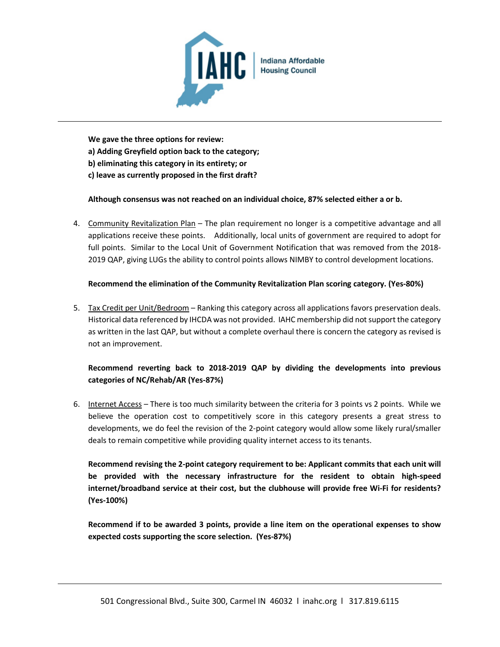

**We gave the three options for review:** 

- **a) Adding Greyfield option back to the category;**
- **b) eliminating this category in its entirety; or**
- **c) leave as currently proposed in the first draft?**

### **Although consensus was not reached on an individual choice, 87% selected either a or b.**

4. Community Revitalization Plan – The plan requirement no longer is a competitive advantage and all applications receive these points. Additionally, local units of government are required to adopt for full points. Similar to the Local Unit of Government Notification that was removed from the 2018- 2019 QAP, giving LUGs the ability to control points allows NIMBY to control development locations.

### **Recommend the elimination of the Community Revitalization Plan scoring category. (Yes-80%)**

5. Tax Credit per Unit/Bedroom – Ranking this category across all applications favors preservation deals. Historical data referenced by IHCDA was not provided. IAHC membership did not support the category as written in the last QAP, but without a complete overhaul there is concern the category as revised is not an improvement.

# **Recommend reverting back to 2018-2019 QAP by dividing the developments into previous categories of NC/Rehab/AR (Yes-87%)**

6. Internet Access – There is too much similarity between the criteria for 3 points vs 2 points. While we believe the operation cost to competitively score in this category presents a great stress to developments, we do feel the revision of the 2-point category would allow some likely rural/smaller deals to remain competitive while providing quality internet access to its tenants.

**Recommend revising the 2-point category requirement to be: Applicant commits that each unit will be provided with the necessary infrastructure for the resident to obtain high-speed internet/broadband service at their cost, but the clubhouse will provide free Wi-Fi for residents? (Yes-100%)** 

**Recommend if to be awarded 3 points, provide a line item on the operational expenses to show expected costs supporting the score selection. (Yes-87%)**